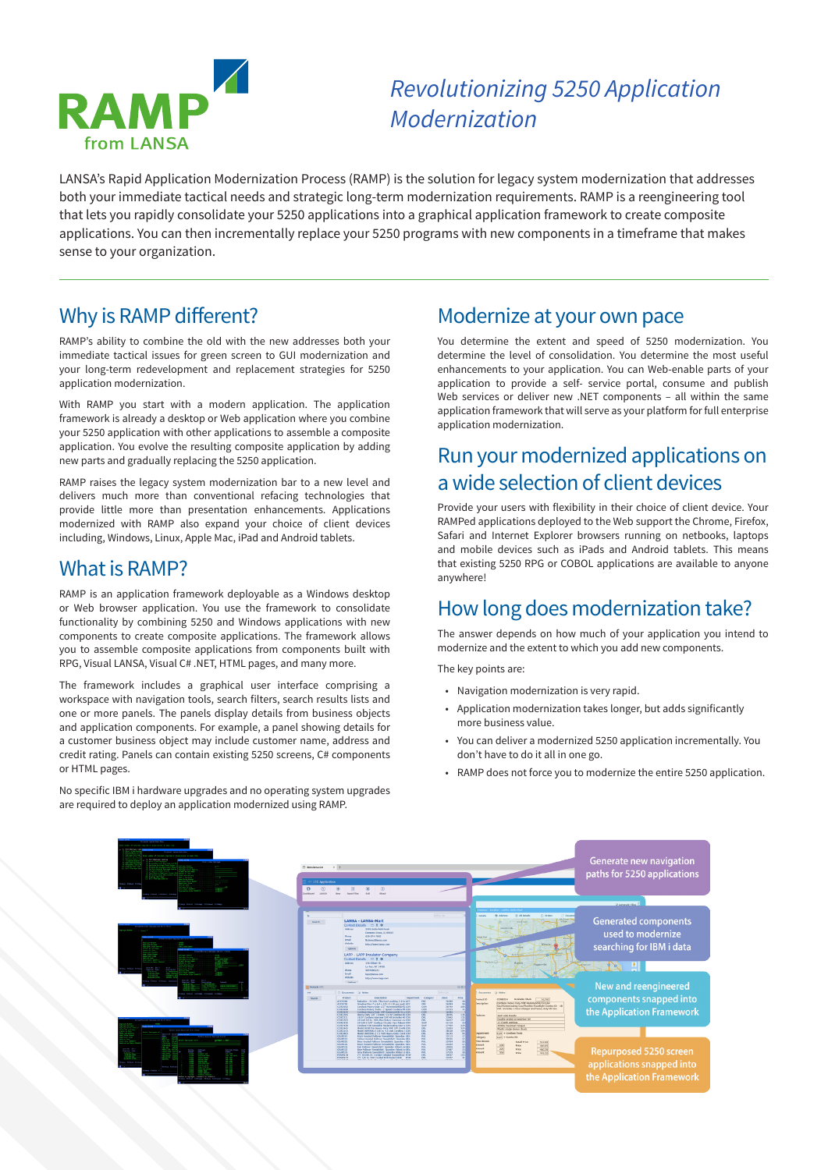

# *Revolutionizing 5250 Application Modernization*

LANSA's Rapid Application Modernization Process (RAMP) is the solution for legacy system modernization that addresses both your immediate tactical needs and strategic long-term modernization requirements. RAMP is a reengineering tool that lets you rapidly consolidate your 5250 applications into a graphical application framework to create composite applications. You can then incrementally replace your 5250 programs with new components in a timeframe that makes sense to your organization.

## Why is RAMP different?

RAMP's ability to combine the old with the new addresses both your immediate tactical issues for green screen to GUI modernization and your long-term redevelopment and replacement strategies for 5250 application modernization.

With RAMP you start with a modern application. The application framework is already a desktop or Web application where you combine your 5250 application with other applications to assemble a composite application. You evolve the resulting composite application by adding new parts and gradually replacing the 5250 application.

RAMP raises the legacy system modernization bar to a new level and delivers much more than conventional refacing technologies that provide little more than presentation enhancements. Applications modernized with RAMP also expand your choice of client devices including, Windows, Linux, Apple Mac, iPad and Android tablets.

### What is RAMP?

RAMP is an application framework deployable as a Windows desktop or Web browser application. You use the framework to consolidate functionality by combining 5250 and Windows applications with new components to create composite applications. The framework allows you to assemble composite applications from components built with RPG, Visual LANSA, Visual C# .NET, HTML pages, and many more.

The framework includes a graphical user interface comprising a workspace with navigation tools, search filters, search results lists and one or more panels. The panels display details from business objects and application components. For example, a panel showing details for a customer business object may include customer name, address and credit rating. Panels can contain existing 5250 screens, C# components or HTML pages.

No specific IBM i hardware upgrades and no operating system upgrades are required to deploy an application modernized using RAMP.

### Modernize at your own pace

You determine the extent and speed of 5250 modernization. You determine the level of consolidation. You determine the most useful enhancements to your application. You can Web-enable parts of your application to provide a self- service portal, consume and publish Web services or deliver new .NET components – all within the same application framework that will serve as your platform for full enterprise application modernization.

# Run your modernized applications on a wide selection of client devices

Provide your users with flexibility in their choice of client device. Your RAMPed applications deployed to the Web support the Chrome, Firefox, Safari and Internet Explorer browsers running on netbooks, laptops and mobile devices such as iPads and Android tablets. This means that existing 5250 RPG or COBOL applications are available to anyone anywhere!

# How long does modernization take?

The answer depends on how much of your application you intend to modernize and the extent to which you add new components.

The key points are:

- Navigation modernization is very rapid.
- Application modernization takes longer, but adds significantly more business value.
- You can deliver a modernized 5250 application incrementally. You don't have to do it all in one go.
- RAMP does not force you to modernize the entire 5250 application.